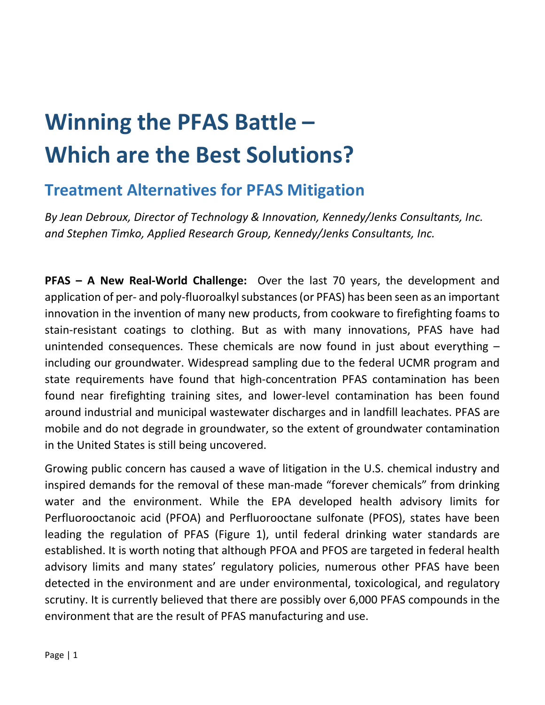# **Winning the PFAS Battle – Which are the Best Solutions?**

# **Treatment Alternatives for PFAS Mitigation**

*By Jean Debroux, Director of Technology & Innovation, Kennedy/Jenks Consultants, Inc. and Stephen Timko, Applied Research Group, Kennedy/Jenks Consultants, Inc.*

**PFAS – A New Real-World Challenge:** Over the last 70 years, the development and application of per- and poly-fluoroalkyl substances (or PFAS) has been seen as an important innovation in the invention of many new products, from cookware to firefighting foams to stain-resistant coatings to clothing. But as with many innovations, PFAS have had unintended consequences. These chemicals are now found in just about everything – including our groundwater. Widespread sampling due to the federal UCMR program and state requirements have found that high-concentration PFAS contamination has been found near firefighting training sites, and lower-level contamination has been found around industrial and municipal wastewater discharges and in landfill leachates. PFAS are mobile and do not degrade in groundwater, so the extent of groundwater contamination in the United States is still being uncovered.

Growing public concern has caused a wave of litigation in the U.S. chemical industry and inspired demands for the removal of these man-made "forever chemicals" from drinking water and the environment. While the EPA developed health advisory limits for Perfluorooctanoic acid (PFOA) and Perfluorooctane sulfonate (PFOS), states have been leading the regulation of PFAS (Figure 1), until federal drinking water standards are established. It is worth noting that although PFOA and PFOS are targeted in federal health advisory limits and many states' regulatory policies, numerous other PFAS have been detected in the environment and are under environmental, toxicological, and regulatory scrutiny. It is currently believed that there are possibly over 6,000 PFAS compounds in the environment that are the result of PFAS manufacturing and use.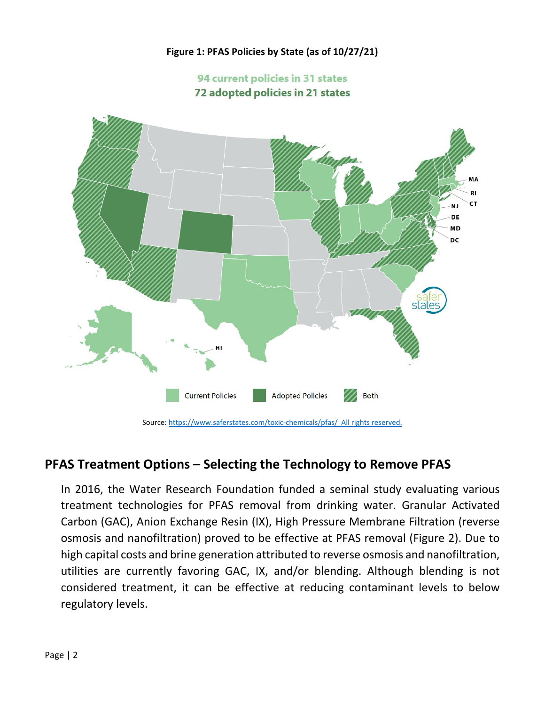#### **Figure 1: PFAS Policies by State (as of 10/27/21)**

#### 94 current policies in 31 states 72 adopted policies in 21 states



## **PFAS Treatment Options – Selecting the Technology to Remove PFAS**

In 2016, the Water Research Foundation funded a seminal study evaluating various treatment technologies for PFAS removal from drinking water. Granular Activated Carbon (GAC), Anion Exchange Resin (IX), High Pressure Membrane Filtration (reverse osmosis and nanofiltration) proved to be effective at PFAS removal (Figure 2). Due to high capital costs and brine generation attributed to reverse osmosis and nanofiltration, utilities are currently favoring GAC, IX, and/or blending. Although blending is not considered treatment, it can be effective at reducing contaminant levels to below regulatory levels.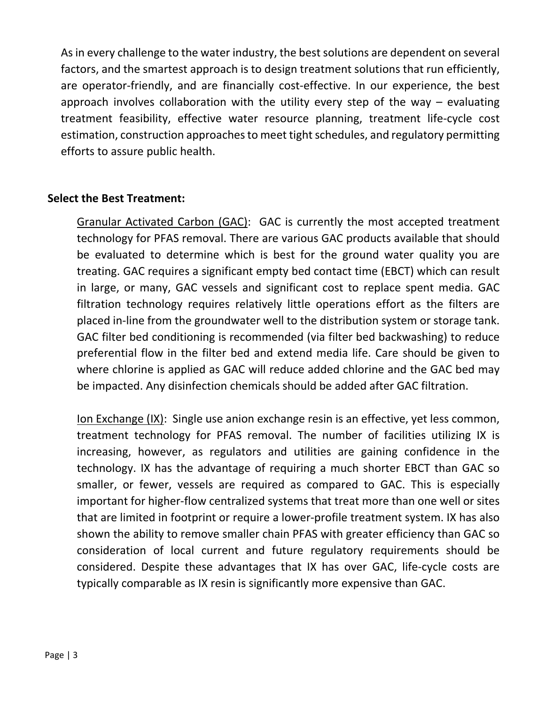As in every challenge to the water industry, the best solutions are dependent on several factors, and the smartest approach is to design treatment solutions that run efficiently, are operator-friendly, and are financially cost-effective. In our experience, the best approach involves collaboration with the utility every step of the way  $-$  evaluating treatment feasibility, effective water resource planning, treatment life-cycle cost estimation, construction approaches to meet tight schedules, and regulatory permitting efforts to assure public health.

#### **Select the Best Treatment:**

Granular Activated Carbon (GAC): GAC is currently the most accepted treatment technology for PFAS removal. There are various GAC products available that should be evaluated to determine which is best for the ground water quality you are treating. GAC requires a significant empty bed contact time (EBCT) which can result in large, or many, GAC vessels and significant cost to replace spent media. GAC filtration technology requires relatively little operations effort as the filters are placed in-line from the groundwater well to the distribution system or storage tank. GAC filter bed conditioning is recommended (via filter bed backwashing) to reduce preferential flow in the filter bed and extend media life. Care should be given to where chlorine is applied as GAC will reduce added chlorine and the GAC bed may be impacted. Any disinfection chemicals should be added after GAC filtration.

Ion Exchange (IX): Single use anion exchange resin is an effective, yet less common, treatment technology for PFAS removal. The number of facilities utilizing IX is increasing, however, as regulators and utilities are gaining confidence in the technology. IX has the advantage of requiring a much shorter EBCT than GAC so smaller, or fewer, vessels are required as compared to GAC. This is especially important for higher-flow centralized systems that treat more than one well or sites that are limited in footprint or require a lower-profile treatment system. IX has also shown the ability to remove smaller chain PFAS with greater efficiency than GAC so consideration of local current and future regulatory requirements should be considered. Despite these advantages that IX has over GAC, life-cycle costs are typically comparable as IX resin is significantly more expensive than GAC.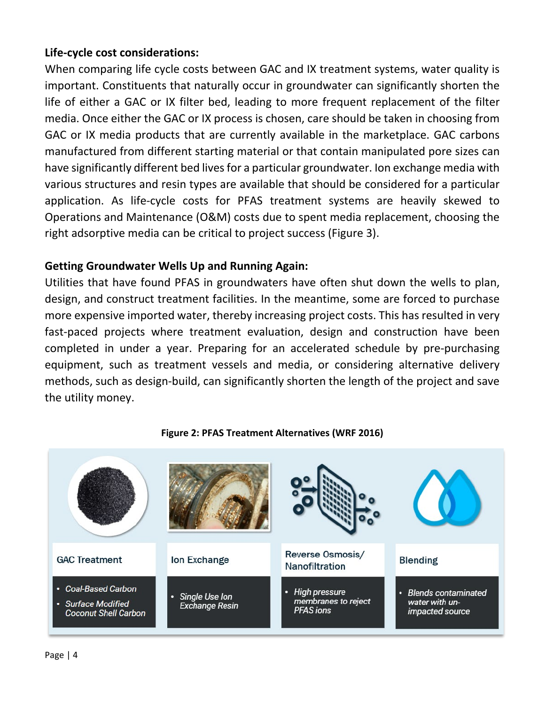### **Life-cycle cost considerations:**

When comparing life cycle costs between GAC and IX treatment systems, water quality is important. Constituents that naturally occur in groundwater can significantly shorten the life of either a GAC or IX filter bed, leading to more frequent replacement of the filter media. Once either the GAC or IX process is chosen, care should be taken in choosing from GAC or IX media products that are currently available in the marketplace. GAC carbons manufactured from different starting material or that contain manipulated pore sizes can have significantly different bed lives for a particular groundwater. Ion exchange media with various structures and resin types are available that should be considered for a particular application. As life-cycle costs for PFAS treatment systems are heavily skewed to Operations and Maintenance (O&M) costs due to spent media replacement, choosing the right adsorptive media can be critical to project success (Figure 3).

#### **Getting Groundwater Wells Up and Running Again:**

Utilities that have found PFAS in groundwaters have often shut down the wells to plan, design, and construct treatment facilities. In the meantime, some are forced to purchase more expensive imported water, thereby increasing project costs. This has resulted in very fast-paced projects where treatment evaluation, design and construction have been completed in under a year. Preparing for an accelerated schedule by pre-purchasing equipment, such as treatment vessels and media, or considering alternative delivery methods, such as design-build, can significantly shorten the length of the project and save the utility money.



#### **Figure 2: PFAS Treatment Alternatives (WRF 2016)**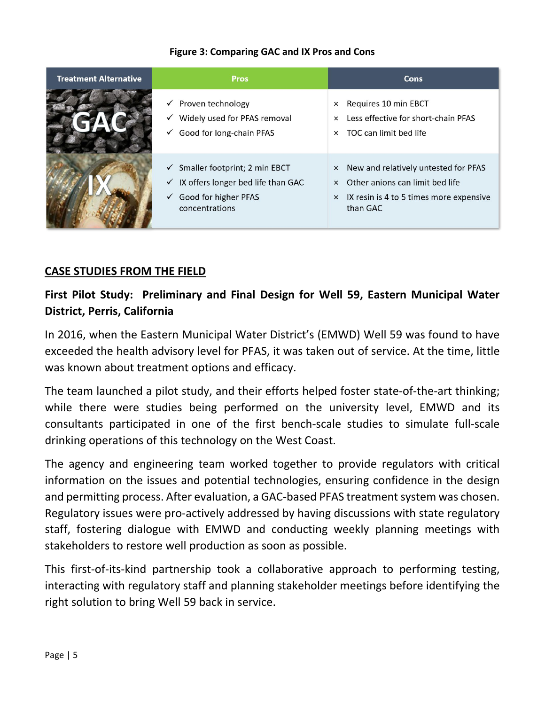| <b>Treatment Alternative</b> | <b>Pros</b>                                                                                                                                             | <b>Cons</b>                                                                                                                                        |
|------------------------------|---------------------------------------------------------------------------------------------------------------------------------------------------------|----------------------------------------------------------------------------------------------------------------------------------------------------|
|                              | $\checkmark$ Proven technology<br>Widely used for PFAS removal<br>✓<br>Good for long-chain PFAS<br>✓                                                    | Requires 10 min EBCT<br>$\times$<br>Less effective for short-chain PFAS<br>$\times$<br>TOC can limit bed life<br>$\times$                          |
|                              | $\checkmark$ Smaller footprint; 2 min EBCT<br>$\checkmark$ IX offers longer bed life than GAC<br>Good for higher PFAS<br>$\checkmark$<br>concentrations | × New and relatively untested for PFAS<br>$\times$ Other anions can limit bed life<br>$\times$ IX resin is 4 to 5 times more expensive<br>than GAC |

#### **Figure 3: Comparing GAC and IX Pros and Cons**

#### **CASE STUDIES FROM THE FIELD**

# **First Pilot Study: Preliminary and Final Design for Well 59, Eastern Municipal Water District, Perris, California**

In 2016, when the Eastern Municipal Water District's (EMWD) Well 59 was found to have exceeded the health advisory level for PFAS, it was taken out of service. At the time, little was known about treatment options and efficacy.

The team launched a pilot study, and their efforts helped foster state-of-the-art thinking; while there were studies being performed on the university level, EMWD and its consultants participated in one of the first bench-scale studies to simulate full-scale drinking operations of this technology on the West Coast.

The agency and engineering team worked together to provide regulators with critical information on the issues and potential technologies, ensuring confidence in the design and permitting process. After evaluation, a GAC-based PFAS treatment system was chosen. Regulatory issues were pro-actively addressed by having discussions with state regulatory staff, fostering dialogue with EMWD and conducting weekly planning meetings with stakeholders to restore well production as soon as possible.

This first-of-its-kind partnership took a collaborative approach to performing testing, interacting with regulatory staff and planning stakeholder meetings before identifying the right solution to bring Well 59 back in service.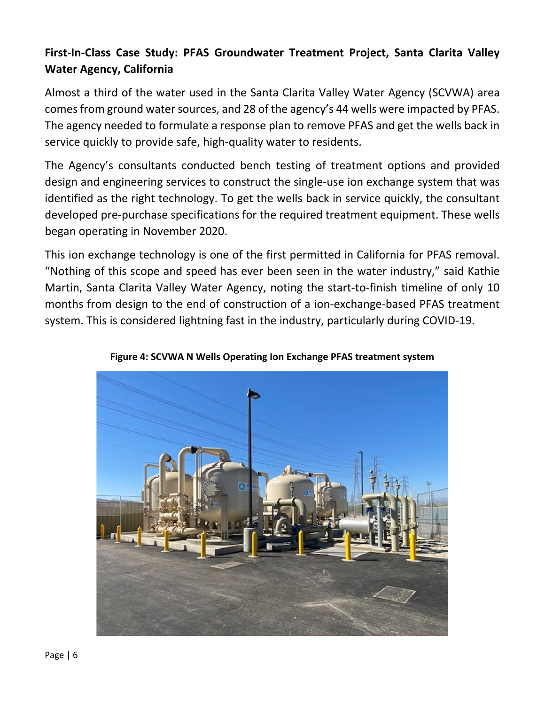# **First-In-Class Case Study: PFAS Groundwater Treatment Project, Santa Clarita Valley Water Agency, California**

Almost a third of the water used in the Santa Clarita Valley Water Agency (SCVWA) area comes from ground water sources, and 28 of the agency's 44 wells were impacted by PFAS. The agency needed to formulate a response plan to remove PFAS and get the wells back in service quickly to provide safe, high-quality water to residents.

The Agency's consultants conducted bench testing of treatment options and provided design and engineering services to construct the single-use ion exchange system that was identified as the right technology. To get the wells back in service quickly, the consultant developed pre-purchase specifications for the required treatment equipment. These wells began operating in November 2020.

This ion exchange technology is one of the first permitted in California for PFAS removal. "Nothing of this scope and speed has ever been seen in the water industry," said Kathie Martin, Santa Clarita Valley Water Agency, noting the start-to-finish timeline of only 10 months from design to the end of construction of a ion-exchange-based PFAS treatment system. This is considered lightning fast in the industry, particularly during COVID-19.



**Figure 4: SCVWA N Wells Operating Ion Exchange PFAS treatment system**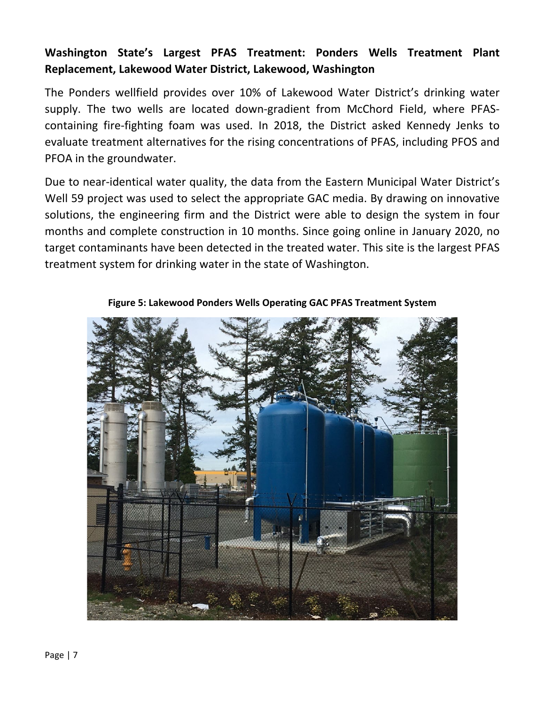# **Washington State's Largest PFAS Treatment: Ponders Wells Treatment Plant Replacement, Lakewood Water District, Lakewood, Washington**

The Ponders wellfield provides over 10% of Lakewood Water District's drinking water supply. The two wells are located down-gradient from McChord Field, where PFAScontaining fire-fighting foam was used. In 2018, the District asked Kennedy Jenks to evaluate treatment alternatives for the rising concentrations of PFAS, including PFOS and PFOA in the groundwater.

Due to near-identical water quality, the data from the Eastern Municipal Water District's Well 59 project was used to select the appropriate GAC media. By drawing on innovative solutions, the engineering firm and the District were able to design the system in four months and complete construction in 10 months. Since going online in January 2020, no target contaminants have been detected in the treated water. This site is the largest PFAS treatment system for drinking water in the state of Washington.



**Figure 5: Lakewood Ponders Wells Operating GAC PFAS Treatment System**